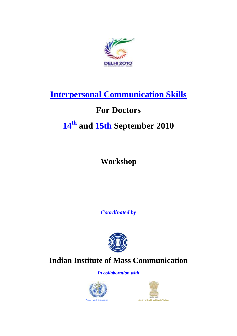

## **Interpersonal Communication Skills**

### **For Doctors**

# **14th and 15th September 2010**

**Workshop**

*Coordinated by*



### **Indian Institute of Mass Communication**

*In collaboration with*



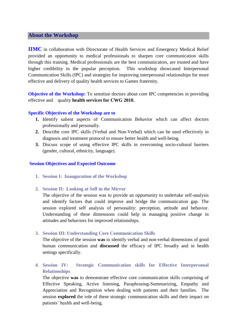#### **About the Workshop**

**IIMC** in collaboration with Directorate of Health Services and Emergency Medical Relief provided an opportunity to medical professionals to sharpen core communication skills through this training. Medical professionals are the best communicators, are trusted and have higher credibility in the popular perception. This workshop showcased Interpersonal Communication Skills (IPC) and strategies for improving interpersonal relationships for more effective and delivery of quality health services to Games fraternity.

**Objective of the Workshop:** To sensitize doctors about core IPC competencies in providing effective and quality **health services for CWG 2010.**

#### **Specific Objectives of the Workshop are to**

- **1.** Identify salient aspects of Communication Behavior which can affect doctors professionally and personally.
- **2.** Describe core IPC skills (Verbal and Non-Verbal) which can be used effectively in diagnosis and treatment protocol to ensure better health and well-being.
- **3.** Discuss scope of using effective IPC skills in overcoming socio-cultural barriers (gender, cultural, ethnicity, language).

#### **Session Objectives and Expected Outcome**

- **1. Session I: Inauguration of the Workshop**
- **2. Session II: Looking at Self in the Mirror**

The objective of the session was to provide an opportunity to undertake self-analysis and identify factors that could improve and bridge the communication gap. The session explored self analysis of personality: perception, attitude and behavior. Understanding of these dimensions could help in managing positive change in attitudes and behaviors for improved relationships.

#### **3. Session III: Understanding Core Communication Skills**

The objective of the session **was** to identify verbal and non-verbal dimensions of good human communication and **discussed** the efficacy of IPC broadly and in health settings specifically.

**4. Session IV: Strategic Communication skills for Effective Interpersonal Relationships**

The objective **was** to demonstrate effective core communication skills comprising of Effective Speaking, Active listening, Paraphrasing-Summarizing, Empathy and Appreciation and Recognition when dealing with patients and their families. The session **explored** the role of these strategic communication skills and their impact on patients' health and well-being.